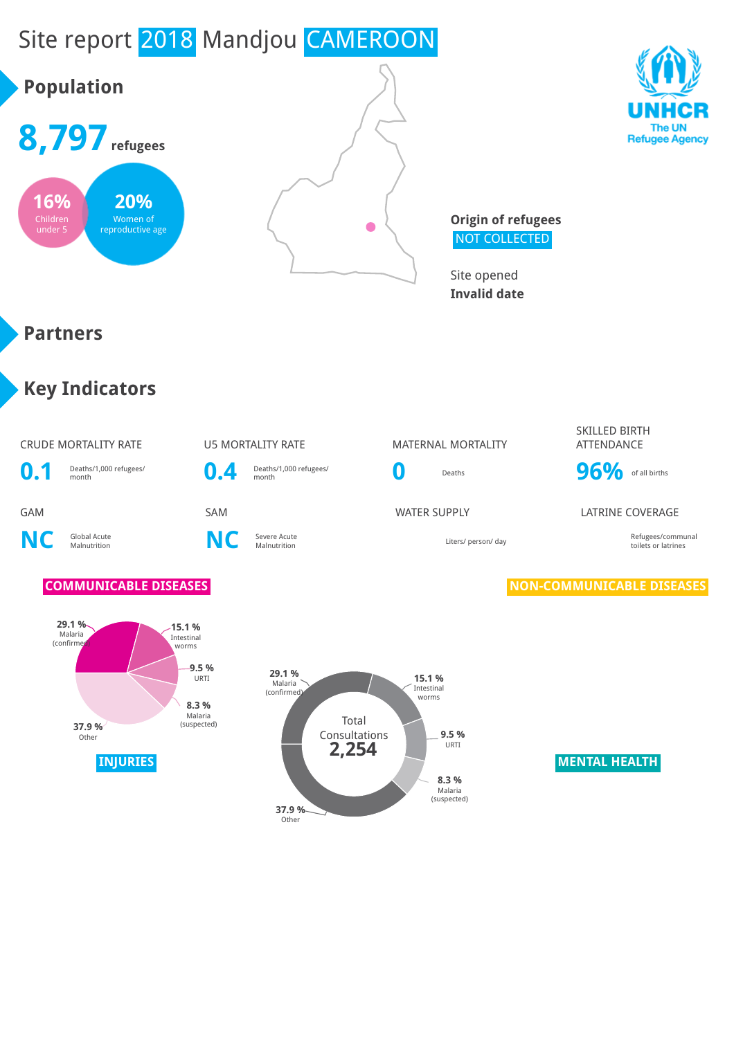## Site report 2018 Mandjou CAMEROON

# **Population 8,797refugees**







**Origin of refugees** NOT COLLECTED

Site opened **Invalid date**

## **Partners**

## **Key Indicators**

### CRUDE MORTALITY RATE **U5 MORTALITY RATE** MATERNAL MORTALITY



**NC** Global Acute



**0.4** Deaths/1,000 refugees/

### SKILLED BIRTH **ATTFNDANCF**



### GAM SAM SAM SAM WATER SUPPLY LATRINE COVERAGE

Malnutrition Liters/ person/ day Refugees/communal toilets or latrines

### **COMMUNICABLE DISEASES NON-COMMUNICABLE DISEASES**



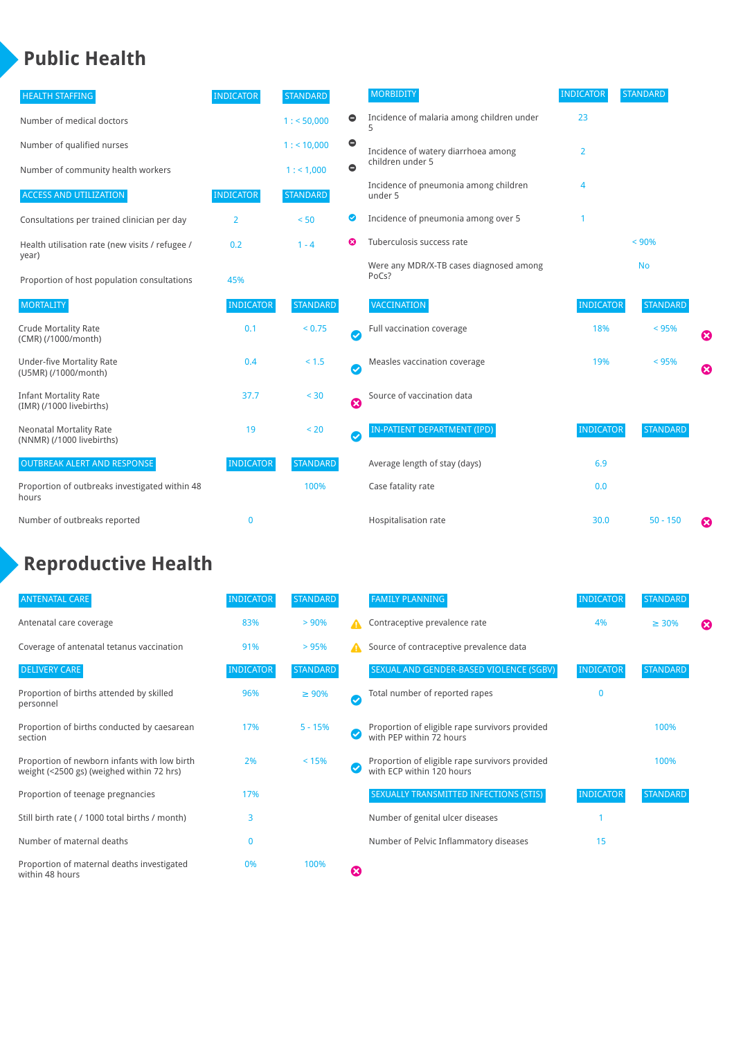## **Public Health**

| <b>HEALTH STAFFING</b>                                      | <b>INDICATOR</b> | <b>STANDARD</b> |           | <b>MORBIDITY</b>                                 | <b>INDICATOR</b> | <b>STANDARD</b> |   |
|-------------------------------------------------------------|------------------|-----------------|-----------|--------------------------------------------------|------------------|-----------------|---|
| Number of medical doctors                                   |                  | 1: 50,000       | 0         | Incidence of malaria among children under        | 23               |                 |   |
| Number of qualified nurses                                  |                  | 1:10,000        | $\bullet$ | Incidence of watery diarrhoea among              | 2                |                 |   |
| Number of community health workers                          |                  | 1: 1,000        | $\bullet$ | children under 5                                 |                  |                 |   |
| <b>ACCESS AND UTILIZATION</b>                               | <b>INDICATOR</b> | <b>STANDARD</b> |           | Incidence of pneumonia among children<br>under 5 | 4                |                 |   |
| Consultations per trained clinician per day                 | $\overline{2}$   | < 50            | Ø         | Incidence of pneumonia among over 5              |                  |                 |   |
| Health utilisation rate (new visits / refugee /             | 0.2              | ೞ<br>$1 - 4$    |           | Tuberculosis success rate                        |                  | < 90%           |   |
| year)<br>Proportion of host population consultations        | 45%              |                 |           | Were any MDR/X-TB cases diagnosed among<br>PoCs? |                  | <b>No</b>       |   |
| <b>MORTALITY</b>                                            | <b>INDICATOR</b> | <b>STANDARD</b> |           | <b>VACCINATION</b>                               | <b>INDICATOR</b> | <b>STANDARD</b> |   |
| <b>Crude Mortality Rate</b><br>(CMR) (/1000/month)          | 0.1              | < 0.75          | $\bullet$ | Full vaccination coverage                        | 18%              | < 95%           | € |
| <b>Under-five Mortality Rate</b><br>(U5MR) (/1000/month)    | 0.4              | $< 1.5$         | $\bullet$ | Measles vaccination coverage                     | 19%              | < 95%           | Ø |
| <b>Infant Mortality Rate</b><br>(IMR) (/1000 livebirths)    | 37.7             | $< 30$          | Ø         | Source of vaccination data                       |                  |                 |   |
| <b>Neonatal Mortality Rate</b><br>(NNMR) (/1000 livebirths) | 19               | < 20            | $\bullet$ | IN-PATIENT DEPARTMENT (IPD)                      | <b>INDICATOR</b> | <b>STANDARD</b> |   |
| <b>OUTBREAK ALERT AND RESPONSE</b>                          | <b>INDICATOR</b> | <b>STANDARD</b> |           | Average length of stay (days)                    | 6.9              |                 |   |
| Proportion of outbreaks investigated within 48<br>hours     |                  | 100%            |           | Case fatality rate                               | 0.0              |                 |   |
| Number of outbreaks reported                                | $\mathbf 0$      |                 |           | Hospitalisation rate                             | 30.0             | $50 - 150$      | ೞ |

## **Reproductive Health**

| <b>ANTENATAL CARE</b>                                                                     | <b>INDICATOR</b> | <b>STANDARD</b> |                       | <b>FAMILY PLANNING</b>                                                      | <b>INDICATOR</b> | <b>STANDARD</b> |   |
|-------------------------------------------------------------------------------------------|------------------|-----------------|-----------------------|-----------------------------------------------------------------------------|------------------|-----------------|---|
| Antenatal care coverage                                                                   | 83%              | > 90%           |                       | Contraceptive prevalence rate                                               | 4%               | $\geq 30\%$     | ⊠ |
| Coverage of antenatal tetanus vaccination                                                 | 91%              | >95%            |                       | Source of contraceptive prevalence data                                     |                  |                 |   |
| <b>DELIVERY CARE</b>                                                                      | <b>INDICATOR</b> | <b>STANDARD</b> |                       | SEXUAL AND GENDER-BASED VIOLENCE (SGBV)                                     | <b>INDICATOR</b> | <b>STANDARD</b> |   |
| Proportion of births attended by skilled<br>personnel                                     | 96%              | $\geq 90\%$     | $\boldsymbol{\sigma}$ | Total number of reported rapes                                              | $\mathbf{0}$     |                 |   |
| Proportion of births conducted by caesarean<br>section                                    | 17%              | $5 - 15%$       |                       | Proportion of eligible rape survivors provided<br>with PEP within 72 hours  |                  | 100%            |   |
| Proportion of newborn infants with low birth<br>weight (<2500 gs) (weighed within 72 hrs) | 2%               | < 15%           |                       | Proportion of eligible rape survivors provided<br>with ECP within 120 hours |                  | 100%            |   |
| Proportion of teenage pregnancies                                                         | 17%              |                 |                       | SEXUALLY TRANSMITTED INFECTIONS (STIS)                                      | <b>INDICATOR</b> | <b>STANDARD</b> |   |
| Still birth rate (/1000 total births / month)                                             | 3                |                 |                       | Number of genital ulcer diseases                                            |                  |                 |   |
| Number of maternal deaths                                                                 |                  |                 |                       | Number of Pelvic Inflammatory diseases                                      | 15               |                 |   |
| Proportion of maternal deaths investigated<br>within 48 hours                             | 0%               | 100%            | ظ                     |                                                                             |                  |                 |   |